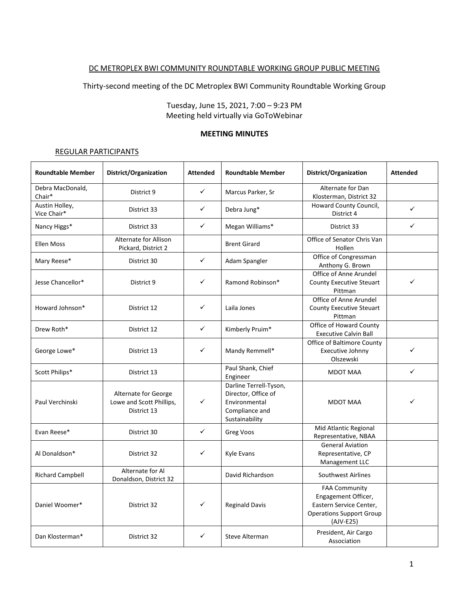### DC METROPLEX BWI COMMUNITY ROUNDTABLE WORKING GROUP PUBLIC MEETING

Thirty-second meeting of the DC Metroplex BWI Community Roundtable Working Group

Tuesday, June 15, 2021, 7:00 – 9:23 PM Meeting held virtually via GoToWebinar

#### **MEETING MINUTES**

#### REGULAR PARTICIPANTS

| <b>Roundtable Member</b>      | District/Organization                                           | <b>Attended</b> | <b>Roundtable Member</b>                                                                           | District/Organization                                                                                                    | <b>Attended</b> |
|-------------------------------|-----------------------------------------------------------------|-----------------|----------------------------------------------------------------------------------------------------|--------------------------------------------------------------------------------------------------------------------------|-----------------|
| Debra MacDonald,<br>Chair*    | District 9                                                      | $\checkmark$    | Marcus Parker, Sr                                                                                  | Alternate for Dan<br>Klosterman, District 32                                                                             |                 |
| Austin Holley,<br>Vice Chair* | District 33                                                     | $\checkmark$    | Debra Jung*                                                                                        | Howard County Council,<br>District 4                                                                                     | ✓               |
| Nancy Higgs*                  | District 33                                                     | $\checkmark$    | Megan Williams*                                                                                    | District 33                                                                                                              | ✓               |
| <b>Ellen Moss</b>             | Alternate for Allison<br>Pickard, District 2                    |                 | <b>Brent Girard</b>                                                                                | Office of Senator Chris Van<br>Hollen                                                                                    |                 |
| Mary Reese*                   | District 30                                                     | $\checkmark$    | Adam Spangler                                                                                      | Office of Congressman<br>Anthony G. Brown                                                                                |                 |
| Jesse Chancellor*             | District 9                                                      | ✓               | Ramond Robinson*                                                                                   | Office of Anne Arundel<br><b>County Executive Steuart</b><br>Pittman                                                     | ✓               |
| Howard Johnson*               | District 12                                                     | $\checkmark$    | Laila Jones                                                                                        | Office of Anne Arundel<br><b>County Executive Steuart</b><br>Pittman                                                     |                 |
| Drew Roth*                    | District 12                                                     | $\checkmark$    | Kimberly Pruim*                                                                                    | Office of Howard County<br><b>Executive Calvin Ball</b>                                                                  |                 |
| George Lowe*                  | District 13                                                     | $\checkmark$    | Mandy Remmell*                                                                                     | <b>Office of Baltimore County</b><br>Executive Johnny<br>Olszewski                                                       | ✓               |
| Scott Philips*                | District 13                                                     |                 | Paul Shank, Chief<br>Engineer                                                                      | <b>MDOT MAA</b>                                                                                                          | ✓               |
| Paul Verchinski               | Alternate for George<br>Lowe and Scott Phillips,<br>District 13 | ✓               | Darline Terrell-Tyson,<br>Director, Office of<br>Environmental<br>Compliance and<br>Sustainability | <b>MDOT MAA</b>                                                                                                          |                 |
| Evan Reese*                   | District 30                                                     | $\checkmark$    | Greg Voos                                                                                          | Mid Atlantic Regional<br>Representative, NBAA                                                                            |                 |
| Al Donaldson*                 | District 32                                                     | ✓               | Kyle Evans                                                                                         | <b>General Aviation</b><br>Representative, CP<br>Management LLC                                                          |                 |
| <b>Richard Campbell</b>       | Alternate for Al<br>Donaldson, District 32                      |                 | David Richardson                                                                                   | Southwest Airlines                                                                                                       |                 |
| Daniel Woomer*                | District 32                                                     | ✓               | <b>Reginald Davis</b>                                                                              | <b>FAA Community</b><br>Engagement Officer,<br>Eastern Service Center,<br><b>Operations Support Group</b><br>$(AJV-E25)$ |                 |
| Dan Klosterman*               | District 32                                                     | ✓               | Steve Alterman                                                                                     | President, Air Cargo<br>Association                                                                                      |                 |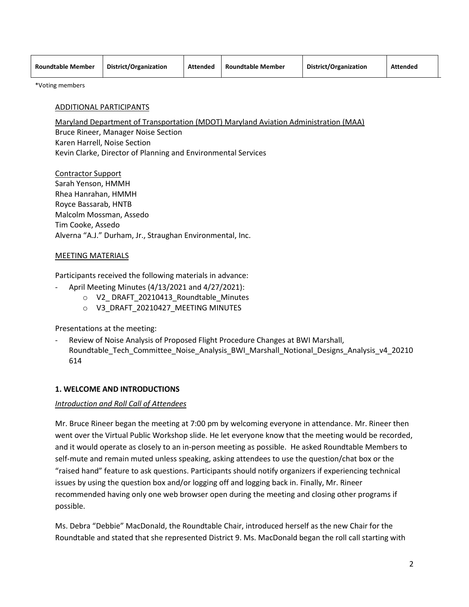| <b>Roundtable Member</b> | District/Organization | <b>Attended</b> | <b>Roundtable Member</b> | District/Organization | <b>Attended</b> |
|--------------------------|-----------------------|-----------------|--------------------------|-----------------------|-----------------|
|                          |                       |                 |                          |                       |                 |

\*Voting members

#### ADDITIONAL PARTICIPANTS

Maryland Department of Transportation (MDOT) Maryland Aviation Administration (MAA) Bruce Rineer, Manager Noise Section Karen Harrell, Noise Section Kevin Clarke, Director of Planning and Environmental Services

Contractor Support Sarah Yenson, HMMH Rhea Hanrahan, HMMH Royce Bassarab, HNTB Malcolm Mossman, Assedo Tim Cooke, Assedo Alverna "A.J." Durham, Jr., Straughan Environmental, Inc.

#### MEETING MATERIALS

Participants received the following materials in advance:

- April Meeting Minutes (4/13/2021 and 4/27/2021):
	- o V2\_ DRAFT\_20210413\_Roundtable\_Minutes
	- o V3\_DRAFT\_20210427\_MEETING MINUTES

Presentations at the meeting:

Review of Noise Analysis of Proposed Flight Procedure Changes at BWI Marshall, Roundtable Tech Committee Noise Analysis BWI Marshall Notional Designs Analysis v4 20210 614

### **1. WELCOME AND INTRODUCTIONS**

#### *Introduction and Roll Call of Attendees*

Mr. Bruce Rineer began the meeting at 7:00 pm by welcoming everyone in attendance. Mr. Rineer then went over the Virtual Public Workshop slide. He let everyone know that the meeting would be recorded, and it would operate as closely to an in-person meeting as possible. He asked Roundtable Members to self-mute and remain muted unless speaking, asking attendees to use the question/chat box or the "raised hand" feature to ask questions. Participants should notify organizers if experiencing technical issues by using the question box and/or logging off and logging back in. Finally, Mr. Rineer recommended having only one web browser open during the meeting and closing other programs if possible.

Ms. Debra "Debbie" MacDonald, the Roundtable Chair, introduced herself as the new Chair for the Roundtable and stated that she represented District 9. Ms. MacDonald began the roll call starting with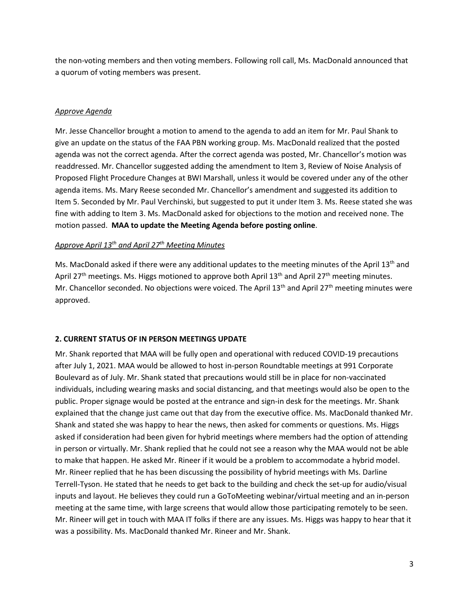the non-voting members and then voting members. Following roll call, Ms. MacDonald announced that a quorum of voting members was present.

### *Approve Agenda*

Mr. Jesse Chancellor brought a motion to amend to the agenda to add an item for Mr. Paul Shank to give an update on the status of the FAA PBN working group. Ms. MacDonald realized that the posted agenda was not the correct agenda. After the correct agenda was posted, Mr. Chancellor's motion was readdressed. Mr. Chancellor suggested adding the amendment to Item 3, Review of Noise Analysis of Proposed Flight Procedure Changes at BWI Marshall, unless it would be covered under any of the other agenda items. Ms. Mary Reese seconded Mr. Chancellor's amendment and suggested its addition to Item 5. Seconded by Mr. Paul Verchinski, but suggested to put it under Item 3. Ms. Reese stated she was fine with adding to Item 3. Ms. MacDonald asked for objections to the motion and received none. The motion passed. **MAA to update the Meeting Agenda before posting online**.

### *Approve April 13th and April 27th Meeting Minutes*

Ms. MacDonald asked if there were any additional updates to the meeting minutes of the April 13<sup>th</sup> and April 27<sup>th</sup> meetings. Ms. Higgs motioned to approve both April 13<sup>th</sup> and April 27<sup>th</sup> meeting minutes. Mr. Chancellor seconded. No objections were voiced. The April 13<sup>th</sup> and April 27<sup>th</sup> meeting minutes were approved.

## **2. CURRENT STATUS OF IN PERSON MEETINGS UPDATE**

Mr. Shank reported that MAA will be fully open and operational with reduced COVID-19 precautions after July 1, 2021. MAA would be allowed to host in-person Roundtable meetings at 991 Corporate Boulevard as of July. Mr. Shank stated that precautions would still be in place for non-vaccinated individuals, including wearing masks and social distancing, and that meetings would also be open to the public. Proper signage would be posted at the entrance and sign-in desk for the meetings. Mr. Shank explained that the change just came out that day from the executive office. Ms. MacDonald thanked Mr. Shank and stated she was happy to hear the news, then asked for comments or questions. Ms. Higgs asked if consideration had been given for hybrid meetings where members had the option of attending in person or virtually. Mr. Shank replied that he could not see a reason why the MAA would not be able to make that happen. He asked Mr. Rineer if it would be a problem to accommodate a hybrid model. Mr. Rineer replied that he has been discussing the possibility of hybrid meetings with Ms. Darline Terrell-Tyson. He stated that he needs to get back to the building and check the set-up for audio/visual inputs and layout. He believes they could run a GoToMeeting webinar/virtual meeting and an in-person meeting at the same time, with large screens that would allow those participating remotely to be seen. Mr. Rineer will get in touch with MAA IT folks if there are any issues. Ms. Higgs was happy to hear that it was a possibility. Ms. MacDonald thanked Mr. Rineer and Mr. Shank.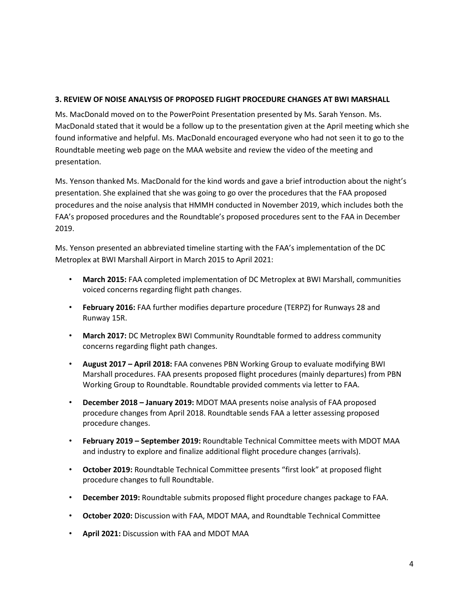### **3. REVIEW OF NOISE ANALYSIS OF PROPOSED FLIGHT PROCEDURE CHANGES AT BWI MARSHALL**

Ms. MacDonald moved on to the PowerPoint Presentation presented by Ms. Sarah Yenson. Ms. MacDonald stated that it would be a follow up to the presentation given at the April meeting which she found informative and helpful. Ms. MacDonald encouraged everyone who had not seen it to go to the Roundtable meeting web page on the MAA website and review the video of the meeting and presentation.

Ms. Yenson thanked Ms. MacDonald for the kind words and gave a brief introduction about the night's presentation. She explained that she was going to go over the procedures that the FAA proposed procedures and the noise analysis that HMMH conducted in November 2019, which includes both the FAA's proposed procedures and the Roundtable's proposed procedures sent to the FAA in December 2019.

Ms. Yenson presented an abbreviated timeline starting with the FAA's implementation of the DC Metroplex at BWI Marshall Airport in March 2015 to April 2021:

- **March 2015:** FAA completed implementation of DC Metroplex at BWI Marshall, communities voiced concerns regarding flight path changes.
- **February 2016:** FAA further modifies departure procedure (TERPZ) for Runways 28 and Runway 15R.
- **March 2017:** DC Metroplex BWI Community Roundtable formed to address community concerns regarding flight path changes.
- **August 2017 – April 2018:** FAA convenes PBN Working Group to evaluate modifying BWI Marshall procedures. FAA presents proposed flight procedures (mainly departures) from PBN Working Group to Roundtable. Roundtable provided comments via letter to FAA.
- **December 2018 – January 2019:** MDOT MAA presents noise analysis of FAA proposed procedure changes from April 2018. Roundtable sends FAA a letter assessing proposed procedure changes.
- **February 2019 – September 2019:** Roundtable Technical Committee meets with MDOT MAA and industry to explore and finalize additional flight procedure changes (arrivals).
- **October 2019:** Roundtable Technical Committee presents "first look" at proposed flight procedure changes to full Roundtable.
- **December 2019:** Roundtable submits proposed flight procedure changes package to FAA.
- **October 2020:** Discussion with FAA, MDOT MAA, and Roundtable Technical Committee
- **April 2021:** Discussion with FAA and MDOT MAA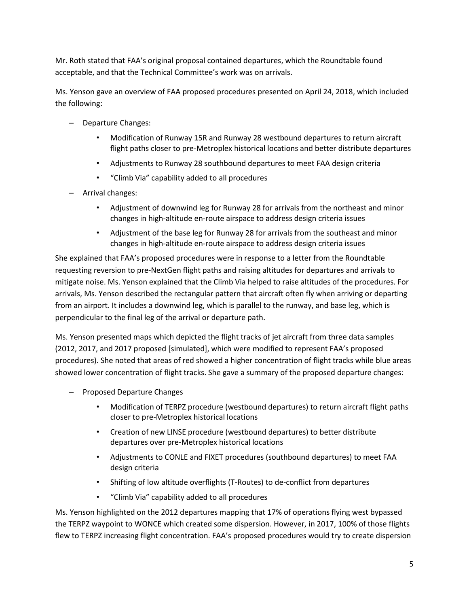Mr. Roth stated that FAA's original proposal contained departures, which the Roundtable found acceptable, and that the Technical Committee's work was on arrivals.

Ms. Yenson gave an overview of FAA proposed procedures presented on April 24, 2018, which included the following:

- Departure Changes:
	- Modification of Runway 15R and Runway 28 westbound departures to return aircraft flight paths closer to pre-Metroplex historical locations and better distribute departures
	- Adjustments to Runway 28 southbound departures to meet FAA design criteria
	- "Climb Via" capability added to all procedures
- Arrival changes:
	- Adjustment of downwind leg for Runway 28 for arrivals from the northeast and minor changes in high-altitude en-route airspace to address design criteria issues
	- Adjustment of the base leg for Runway 28 for arrivals from the southeast and minor changes in high-altitude en-route airspace to address design criteria issues

She explained that FAA's proposed procedures were in response to a letter from the Roundtable requesting reversion to pre-NextGen flight paths and raising altitudes for departures and arrivals to mitigate noise. Ms. Yenson explained that the Climb Via helped to raise altitudes of the procedures. For arrivals, Ms. Yenson described the rectangular pattern that aircraft often fly when arriving or departing from an airport. It includes a downwind leg, which is parallel to the runway, and base leg, which is perpendicular to the final leg of the arrival or departure path.

Ms. Yenson presented maps which depicted the flight tracks of jet aircraft from three data samples (2012, 2017, and 2017 proposed [simulated], which were modified to represent FAA's proposed procedures). She noted that areas of red showed a higher concentration of flight tracks while blue areas showed lower concentration of flight tracks. She gave a summary of the proposed departure changes:

- Proposed Departure Changes
	- Modification of TERPZ procedure (westbound departures) to return aircraft flight paths closer to pre-Metroplex historical locations
	- Creation of new LINSE procedure (westbound departures) to better distribute departures over pre-Metroplex historical locations
	- Adjustments to CONLE and FIXET procedures (southbound departures) to meet FAA design criteria
	- Shifting of low altitude overflights (T-Routes) to de-conflict from departures
	- "Climb Via" capability added to all procedures

Ms. Yenson highlighted on the 2012 departures mapping that 17% of operations flying west bypassed the TERPZ waypoint to WONCE which created some dispersion. However, in 2017, 100% of those flights flew to TERPZ increasing flight concentration. FAA's proposed procedures would try to create dispersion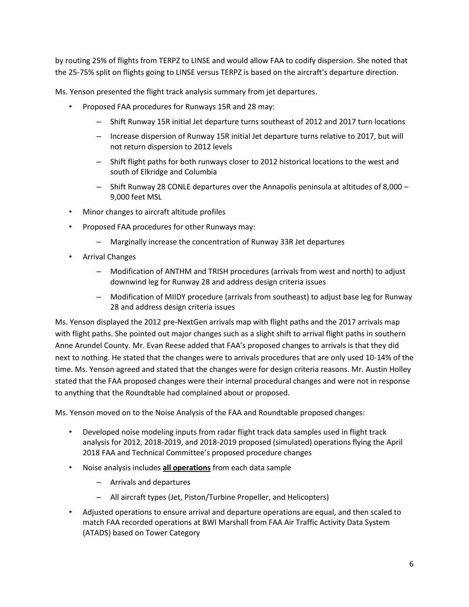by routing 25% of flights from TERPZ to LINSE and would allow FAA to codify dispersion. She noted that the 25-75% split on flights going to LINSE versus TERPZ is based on the aircraft's departure direction.

Ms. Yenson presented the flight track analysis summary from jet departures.

- Proposed FAA procedures for Runways 15R and 28 may:
	- Shift Runway 15R initial Jet departure turns southeast of 2012 and 2017 turn locations
	- Increase dispersion of Runway 15R initial Jet departure turns relative to 2017, but will not return dispersion to 2012 levels
	- Shift flight paths for both runways closer to 2012 historical locations to the west and south of Elkridge and Columbia
	- Shift Runway 28 CONLE departures over the Annapolis peninsula at altitudes of 8,000 9,000 feet MSL
- Minor changes to aircraft altitude profiles
- Proposed FAA procedures for other Runways may:
	- Marginally increase the concentration of Runway 33R Jet departures
- Arrival Changes
	- Modification of ANTHM and TRISH procedures (arrivals from west and north) to adjust downwind leg for Runway 28 and address design criteria issues
	- Modification of MIIDY procedure (arrivals from southeast) to adjust base leg for Runway 28 and address design criteria issues

Ms. Yenson displayed the 2012 pre-NextGen arrivals map with flight paths and the 2017 arrivals map with flight paths. She pointed out major changes such as a slight shift to arrival flight paths in southern Anne Arundel County. Mr. Evan Reese added that FAA's proposed changes to arrivals is that they did next to nothing. He stated that the changes were to arrivals procedures that are only used 10-14% of the time. Ms. Yenson agreed and stated that the changes were for design criteria reasons. Mr. Austin Holley stated that the FAA proposed changes were their internal procedural changes and were not in response to anything that the Roundtable had complained about or proposed.

Ms. Yenson moved on to the Noise Analysis of the FAA and Roundtable proposed changes:

- Developed noise modeling inputs from radar flight track data samples used in flight track analysis for 2012, 2018-2019, and 2018-2019 proposed (simulated) operations flying the April 2018 FAA and Technical Committee's proposed procedure changes
- Noise analysis includes **all operations** from each data sample
	- Arrivals and departures
	- All aircraft types (Jet, Piston/Turbine Propeller, and Helicopters)
- Adjusted operations to ensure arrival and departure operations are equal, and then scaled to match FAA recorded operations at BWI Marshall from FAA Air Traffic Activity Data System (ATADS) based on Tower Category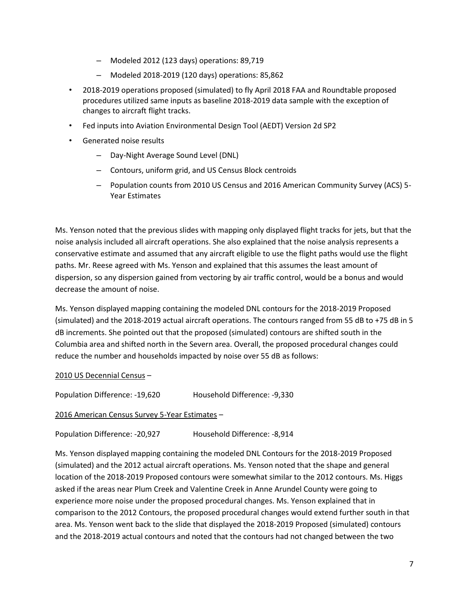- Modeled 2012 (123 days) operations: 89,719
- Modeled 2018-2019 (120 days) operations: 85,862
- 2018-2019 operations proposed (simulated) to fly April 2018 FAA and Roundtable proposed procedures utilized same inputs as baseline 2018-2019 data sample with the exception of changes to aircraft flight tracks.
- Fed inputs into Aviation Environmental Design Tool (AEDT) Version 2d SP2
- Generated noise results
	- Day-Night Average Sound Level (DNL)
	- Contours, uniform grid, and US Census Block centroids
	- Population counts from 2010 US Census and 2016 American Community Survey (ACS) 5- Year Estimates

Ms. Yenson noted that the previous slides with mapping only displayed flight tracks for jets, but that the noise analysis included all aircraft operations. She also explained that the noise analysis represents a conservative estimate and assumed that any aircraft eligible to use the flight paths would use the flight paths. Mr. Reese agreed with Ms. Yenson and explained that this assumes the least amount of dispersion, so any dispersion gained from vectoring by air traffic control, would be a bonus and would decrease the amount of noise.

Ms. Yenson displayed mapping containing the modeled DNL contours for the 2018-2019 Proposed (simulated) and the 2018-2019 actual aircraft operations. The contours ranged from 55 dB to +75 dB in 5 dB increments. She pointed out that the proposed (simulated) contours are shifted south in the Columbia area and shifted north in the Severn area. Overall, the proposed procedural changes could reduce the number and households impacted by noise over 55 dB as follows:

### 2010 US Decennial Census –

Population Difference: -19,620 Household Difference: -9,330

2016 American Census Survey 5-Year Estimates –

Population Difference: -20,927 Household Difference: -8,914

Ms. Yenson displayed mapping containing the modeled DNL Contours for the 2018-2019 Proposed (simulated) and the 2012 actual aircraft operations. Ms. Yenson noted that the shape and general location of the 2018-2019 Proposed contours were somewhat similar to the 2012 contours. Ms. Higgs asked if the areas near Plum Creek and Valentine Creek in Anne Arundel County were going to experience more noise under the proposed procedural changes. Ms. Yenson explained that in comparison to the 2012 Contours, the proposed procedural changes would extend further south in that area. Ms. Yenson went back to the slide that displayed the 2018-2019 Proposed (simulated) contours and the 2018-2019 actual contours and noted that the contours had not changed between the two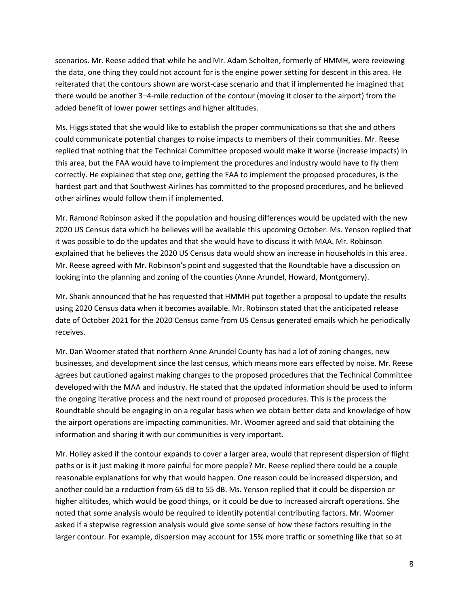scenarios. Mr. Reese added that while he and Mr. Adam Scholten, formerly of HMMH, were reviewing the data, one thing they could not account for is the engine power setting for descent in this area. He reiterated that the contours shown are worst-case scenario and that if implemented he imagined that there would be another 3–4-mile reduction of the contour (moving it closer to the airport) from the added benefit of lower power settings and higher altitudes.

Ms. Higgs stated that she would like to establish the proper communications so that she and others could communicate potential changes to noise impacts to members of their communities. Mr. Reese replied that nothing that the Technical Committee proposed would make it worse (increase impacts) in this area, but the FAA would have to implement the procedures and industry would have to fly them correctly. He explained that step one, getting the FAA to implement the proposed procedures, is the hardest part and that Southwest Airlines has committed to the proposed procedures, and he believed other airlines would follow them if implemented.

Mr. Ramond Robinson asked if the population and housing differences would be updated with the new 2020 US Census data which he believes will be available this upcoming October. Ms. Yenson replied that it was possible to do the updates and that she would have to discuss it with MAA. Mr. Robinson explained that he believes the 2020 US Census data would show an increase in households in this area. Mr. Reese agreed with Mr. Robinson's point and suggested that the Roundtable have a discussion on looking into the planning and zoning of the counties (Anne Arundel, Howard, Montgomery).

Mr. Shank announced that he has requested that HMMH put together a proposal to update the results using 2020 Census data when it becomes available. Mr. Robinson stated that the anticipated release date of October 2021 for the 2020 Census came from US Census generated emails which he periodically receives.

Mr. Dan Woomer stated that northern Anne Arundel County has had a lot of zoning changes, new businesses, and development since the last census, which means more ears effected by noise. Mr. Reese agrees but cautioned against making changes to the proposed procedures that the Technical Committee developed with the MAA and industry. He stated that the updated information should be used to inform the ongoing iterative process and the next round of proposed procedures. This is the process the Roundtable should be engaging in on a regular basis when we obtain better data and knowledge of how the airport operations are impacting communities. Mr. Woomer agreed and said that obtaining the information and sharing it with our communities is very important.

Mr. Holley asked if the contour expands to cover a larger area, would that represent dispersion of flight paths or is it just making it more painful for more people? Mr. Reese replied there could be a couple reasonable explanations for why that would happen. One reason could be increased dispersion, and another could be a reduction from 65 dB to 55 dB. Ms. Yenson replied that it could be dispersion or higher altitudes, which would be good things, or it could be due to increased aircraft operations. She noted that some analysis would be required to identify potential contributing factors. Mr. Woomer asked if a stepwise regression analysis would give some sense of how these factors resulting in the larger contour. For example, dispersion may account for 15% more traffic or something like that so at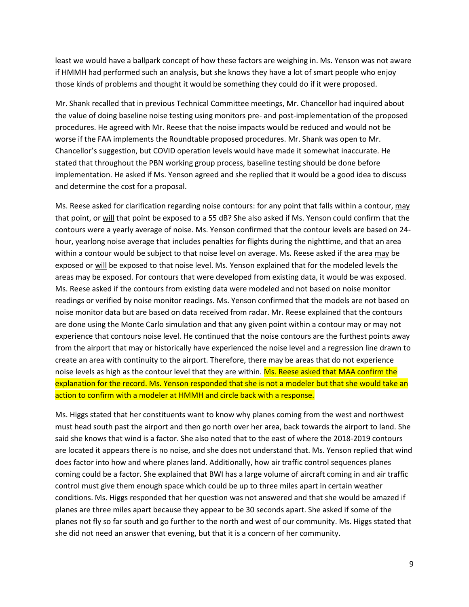least we would have a ballpark concept of how these factors are weighing in. Ms. Yenson was not aware if HMMH had performed such an analysis, but she knows they have a lot of smart people who enjoy those kinds of problems and thought it would be something they could do if it were proposed.

Mr. Shank recalled that in previous Technical Committee meetings, Mr. Chancellor had inquired about the value of doing baseline noise testing using monitors pre- and post-implementation of the proposed procedures. He agreed with Mr. Reese that the noise impacts would be reduced and would not be worse if the FAA implements the Roundtable proposed procedures. Mr. Shank was open to Mr. Chancellor's suggestion, but COVID operation levels would have made it somewhat inaccurate. He stated that throughout the PBN working group process, baseline testing should be done before implementation. He asked if Ms. Yenson agreed and she replied that it would be a good idea to discuss and determine the cost for a proposal.

Ms. Reese asked for clarification regarding noise contours: for any point that falls within a contour, may that point, or will that point be exposed to a 55 dB? She also asked if Ms. Yenson could confirm that the contours were a yearly average of noise. Ms. Yenson confirmed that the contour levels are based on 24 hour, yearlong noise average that includes penalties for flights during the nighttime, and that an area within a contour would be subject to that noise level on average. Ms. Reese asked if the area may be exposed or will be exposed to that noise level. Ms. Yenson explained that for the modeled levels the areas may be exposed. For contours that were developed from existing data, it would be was exposed. Ms. Reese asked if the contours from existing data were modeled and not based on noise monitor readings or verified by noise monitor readings. Ms. Yenson confirmed that the models are not based on noise monitor data but are based on data received from radar. Mr. Reese explained that the contours are done using the Monte Carlo simulation and that any given point within a contour may or may not experience that contours noise level. He continued that the noise contours are the furthest points away from the airport that may or historically have experienced the noise level and a regression line drawn to create an area with continuity to the airport. Therefore, there may be areas that do not experience noise levels as high as the contour level that they are within. Ms. Reese asked that MAA confirm the explanation for the record. Ms. Yenson responded that she is not a modeler but that she would take an action to confirm with a modeler at HMMH and circle back with a response.

Ms. Higgs stated that her constituents want to know why planes coming from the west and northwest must head south past the airport and then go north over her area, back towards the airport to land. She said she knows that wind is a factor. She also noted that to the east of where the 2018-2019 contours are located it appears there is no noise, and she does not understand that. Ms. Yenson replied that wind does factor into how and where planes land. Additionally, how air traffic control sequences planes coming could be a factor. She explained that BWI has a large volume of aircraft coming in and air traffic control must give them enough space which could be up to three miles apart in certain weather conditions. Ms. Higgs responded that her question was not answered and that she would be amazed if planes are three miles apart because they appear to be 30 seconds apart. She asked if some of the planes not fly so far south and go further to the north and west of our community. Ms. Higgs stated that she did not need an answer that evening, but that it is a concern of her community.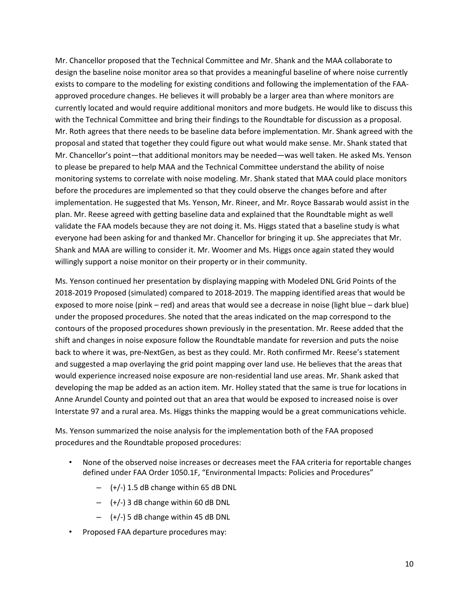Mr. Chancellor proposed that the Technical Committee and Mr. Shank and the MAA collaborate to design the baseline noise monitor area so that provides a meaningful baseline of where noise currently exists to compare to the modeling for existing conditions and following the implementation of the FAAapproved procedure changes. He believes it will probably be a larger area than where monitors are currently located and would require additional monitors and more budgets. He would like to discuss this with the Technical Committee and bring their findings to the Roundtable for discussion as a proposal. Mr. Roth agrees that there needs to be baseline data before implementation. Mr. Shank agreed with the proposal and stated that together they could figure out what would make sense. Mr. Shank stated that Mr. Chancellor's point—that additional monitors may be needed—was well taken. He asked Ms. Yenson to please be prepared to help MAA and the Technical Committee understand the ability of noise monitoring systems to correlate with noise modeling. Mr. Shank stated that MAA could place monitors before the procedures are implemented so that they could observe the changes before and after implementation. He suggested that Ms. Yenson, Mr. Rineer, and Mr. Royce Bassarab would assist in the plan. Mr. Reese agreed with getting baseline data and explained that the Roundtable might as well validate the FAA models because they are not doing it. Ms. Higgs stated that a baseline study is what everyone had been asking for and thanked Mr. Chancellor for bringing it up. She appreciates that Mr. Shank and MAA are willing to consider it. Mr. Woomer and Ms. Higgs once again stated they would willingly support a noise monitor on their property or in their community.

Ms. Yenson continued her presentation by displaying mapping with Modeled DNL Grid Points of the 2018-2019 Proposed (simulated) compared to 2018-2019. The mapping identified areas that would be exposed to more noise (pink – red) and areas that would see a decrease in noise (light blue – dark blue) under the proposed procedures. She noted that the areas indicated on the map correspond to the contours of the proposed procedures shown previously in the presentation. Mr. Reese added that the shift and changes in noise exposure follow the Roundtable mandate for reversion and puts the noise back to where it was, pre-NextGen, as best as they could. Mr. Roth confirmed Mr. Reese's statement and suggested a map overlaying the grid point mapping over land use. He believes that the areas that would experience increased noise exposure are non-residential land use areas. Mr. Shank asked that developing the map be added as an action item. Mr. Holley stated that the same is true for locations in Anne Arundel County and pointed out that an area that would be exposed to increased noise is over Interstate 97 and a rural area. Ms. Higgs thinks the mapping would be a great communications vehicle.

Ms. Yenson summarized the noise analysis for the implementation both of the FAA proposed procedures and the Roundtable proposed procedures:

- None of the observed noise increases or decreases meet the FAA criteria for reportable changes defined under FAA Order 1050.1F, "Environmental Impacts: Policies and Procedures"
	- $-$  (+/-) 1.5 dB change within 65 dB DNL
	- $-$  (+/-) 3 dB change within 60 dB DNL
	- $-$  (+/-) 5 dB change within 45 dB DNL
- Proposed FAA departure procedures may: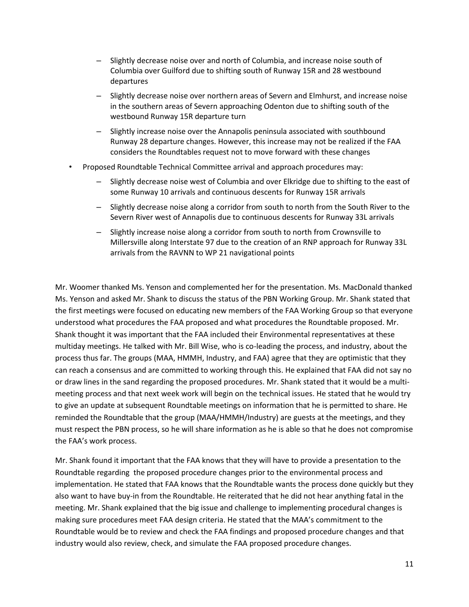- Slightly decrease noise over and north of Columbia, and increase noise south of Columbia over Guilford due to shifting south of Runway 15R and 28 westbound departures
- Slightly decrease noise over northern areas of Severn and Elmhurst, and increase noise in the southern areas of Severn approaching Odenton due to shifting south of the westbound Runway 15R departure turn
- Slightly increase noise over the Annapolis peninsula associated with southbound Runway 28 departure changes. However, this increase may not be realized if the FAA considers the Roundtables request not to move forward with these changes
- Proposed Roundtable Technical Committee arrival and approach procedures may:
	- Slightly decrease noise west of Columbia and over Elkridge due to shifting to the east of some Runway 10 arrivals and continuous descents for Runway 15R arrivals
	- Slightly decrease noise along a corridor from south to north from the South River to the Severn River west of Annapolis due to continuous descents for Runway 33L arrivals
	- Slightly increase noise along a corridor from south to north from Crownsville to Millersville along Interstate 97 due to the creation of an RNP approach for Runway 33L arrivals from the RAVNN to WP 21 navigational points

Mr. Woomer thanked Ms. Yenson and complemented her for the presentation. Ms. MacDonald thanked Ms. Yenson and asked Mr. Shank to discuss the status of the PBN Working Group. Mr. Shank stated that the first meetings were focused on educating new members of the FAA Working Group so that everyone understood what procedures the FAA proposed and what procedures the Roundtable proposed. Mr. Shank thought it was important that the FAA included their Environmental representatives at these multiday meetings. He talked with Mr. Bill Wise, who is co-leading the process, and industry, about the process thus far. The groups (MAA, HMMH, Industry, and FAA) agree that they are optimistic that they can reach a consensus and are committed to working through this. He explained that FAA did not say no or draw lines in the sand regarding the proposed procedures. Mr. Shank stated that it would be a multimeeting process and that next week work will begin on the technical issues. He stated that he would try to give an update at subsequent Roundtable meetings on information that he is permitted to share. He reminded the Roundtable that the group (MAA/HMMH/Industry) are guests at the meetings, and they must respect the PBN process, so he will share information as he is able so that he does not compromise the FAA's work process.

Mr. Shank found it important that the FAA knows that they will have to provide a presentation to the Roundtable regarding the proposed procedure changes prior to the environmental process and implementation. He stated that FAA knows that the Roundtable wants the process done quickly but they also want to have buy-in from the Roundtable. He reiterated that he did not hear anything fatal in the meeting. Mr. Shank explained that the big issue and challenge to implementing procedural changes is making sure procedures meet FAA design criteria. He stated that the MAA's commitment to the Roundtable would be to review and check the FAA findings and proposed procedure changes and that industry would also review, check, and simulate the FAA proposed procedure changes.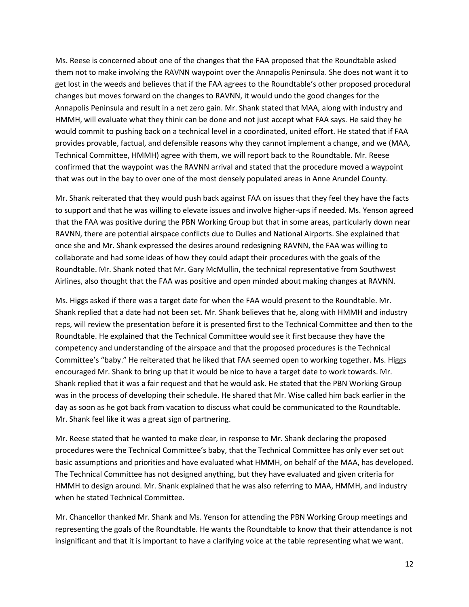Ms. Reese is concerned about one of the changes that the FAA proposed that the Roundtable asked them not to make involving the RAVNN waypoint over the Annapolis Peninsula. She does not want it to get lost in the weeds and believes that if the FAA agrees to the Roundtable's other proposed procedural changes but moves forward on the changes to RAVNN, it would undo the good changes for the Annapolis Peninsula and result in a net zero gain. Mr. Shank stated that MAA, along with industry and HMMH, will evaluate what they think can be done and not just accept what FAA says. He said they he would commit to pushing back on a technical level in a coordinated, united effort. He stated that if FAA provides provable, factual, and defensible reasons why they cannot implement a change, and we (MAA, Technical Committee, HMMH) agree with them, we will report back to the Roundtable. Mr. Reese confirmed that the waypoint was the RAVNN arrival and stated that the procedure moved a waypoint that was out in the bay to over one of the most densely populated areas in Anne Arundel County.

Mr. Shank reiterated that they would push back against FAA on issues that they feel they have the facts to support and that he was willing to elevate issues and involve higher-ups if needed. Ms. Yenson agreed that the FAA was positive during the PBN Working Group but that in some areas, particularly down near RAVNN, there are potential airspace conflicts due to Dulles and National Airports. She explained that once she and Mr. Shank expressed the desires around redesigning RAVNN, the FAA was willing to collaborate and had some ideas of how they could adapt their procedures with the goals of the Roundtable. Mr. Shank noted that Mr. Gary McMullin, the technical representative from Southwest Airlines, also thought that the FAA was positive and open minded about making changes at RAVNN.

Ms. Higgs asked if there was a target date for when the FAA would present to the Roundtable. Mr. Shank replied that a date had not been set. Mr. Shank believes that he, along with HMMH and industry reps, will review the presentation before it is presented first to the Technical Committee and then to the Roundtable. He explained that the Technical Committee would see it first because they have the competency and understanding of the airspace and that the proposed procedures is the Technical Committee's "baby." He reiterated that he liked that FAA seemed open to working together. Ms. Higgs encouraged Mr. Shank to bring up that it would be nice to have a target date to work towards. Mr. Shank replied that it was a fair request and that he would ask. He stated that the PBN Working Group was in the process of developing their schedule. He shared that Mr. Wise called him back earlier in the day as soon as he got back from vacation to discuss what could be communicated to the Roundtable. Mr. Shank feel like it was a great sign of partnering.

Mr. Reese stated that he wanted to make clear, in response to Mr. Shank declaring the proposed procedures were the Technical Committee's baby, that the Technical Committee has only ever set out basic assumptions and priorities and have evaluated what HMMH, on behalf of the MAA, has developed. The Technical Committee has not designed anything, but they have evaluated and given criteria for HMMH to design around. Mr. Shank explained that he was also referring to MAA, HMMH, and industry when he stated Technical Committee.

Mr. Chancellor thanked Mr. Shank and Ms. Yenson for attending the PBN Working Group meetings and representing the goals of the Roundtable. He wants the Roundtable to know that their attendance is not insignificant and that it is important to have a clarifying voice at the table representing what we want.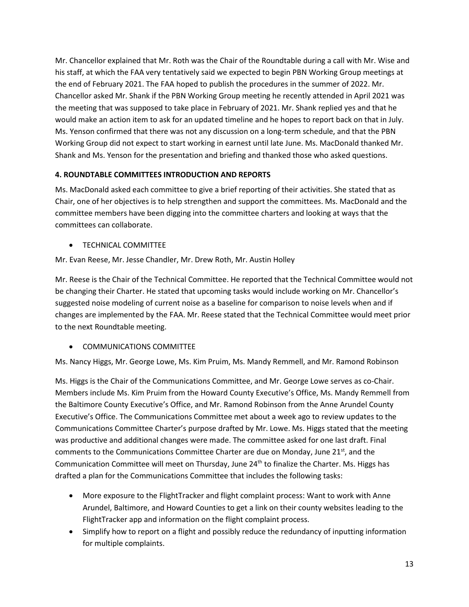Mr. Chancellor explained that Mr. Roth was the Chair of the Roundtable during a call with Mr. Wise and his staff, at which the FAA very tentatively said we expected to begin PBN Working Group meetings at the end of February 2021. The FAA hoped to publish the procedures in the summer of 2022. Mr. Chancellor asked Mr. Shank if the PBN Working Group meeting he recently attended in April 2021 was the meeting that was supposed to take place in February of 2021. Mr. Shank replied yes and that he would make an action item to ask for an updated timeline and he hopes to report back on that in July. Ms. Yenson confirmed that there was not any discussion on a long-term schedule, and that the PBN Working Group did not expect to start working in earnest until late June. Ms. MacDonald thanked Mr. Shank and Ms. Yenson for the presentation and briefing and thanked those who asked questions.

## **4. ROUNDTABLE COMMITTEES INTRODUCTION AND REPORTS**

Ms. MacDonald asked each committee to give a brief reporting of their activities. She stated that as Chair, one of her objectives is to help strengthen and support the committees. Ms. MacDonald and the committee members have been digging into the committee charters and looking at ways that the committees can collaborate.

• TECHNICAL COMMITTEE

Mr. Evan Reese, Mr. Jesse Chandler, Mr. Drew Roth, Mr. Austin Holley

Mr. Reese is the Chair of the Technical Committee. He reported that the Technical Committee would not be changing their Charter. He stated that upcoming tasks would include working on Mr. Chancellor's suggested noise modeling of current noise as a baseline for comparison to noise levels when and if changes are implemented by the FAA. Mr. Reese stated that the Technical Committee would meet prior to the next Roundtable meeting.

## • COMMUNICATIONS COMMITTEE

Ms. Nancy Higgs, Mr. George Lowe, Ms. Kim Pruim, Ms. Mandy Remmell, and Mr. Ramond Robinson

Ms. Higgs is the Chair of the Communications Committee, and Mr. George Lowe serves as co-Chair. Members include Ms. Kim Pruim from the Howard County Executive's Office, Ms. Mandy Remmell from the Baltimore County Executive's Office, and Mr. Ramond Robinson from the Anne Arundel County Executive's Office. The Communications Committee met about a week ago to review updates to the Communications Committee Charter's purpose drafted by Mr. Lowe. Ms. Higgs stated that the meeting was productive and additional changes were made. The committee asked for one last draft. Final comments to the Communications Committee Charter are due on Monday, June 21 $^{st}$ , and the Communication Committee will meet on Thursday, June 24<sup>th</sup> to finalize the Charter. Ms. Higgs has drafted a plan for the Communications Committee that includes the following tasks:

- More exposure to the FlightTracker and flight complaint process: Want to work with Anne Arundel, Baltimore, and Howard Counties to get a link on their county websites leading to the FlightTracker app and information on the flight complaint process.
- Simplify how to report on a flight and possibly reduce the redundancy of inputting information for multiple complaints.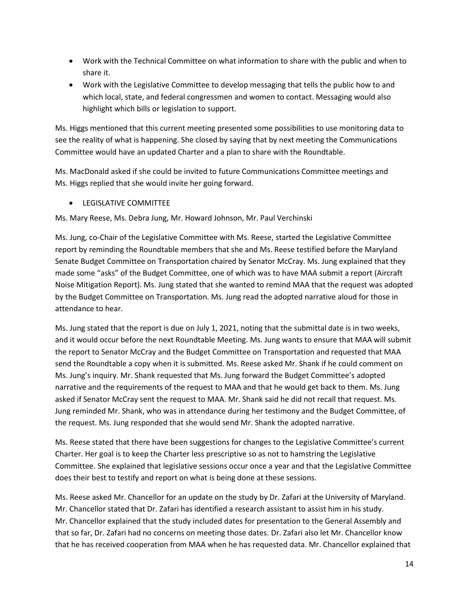- Work with the Technical Committee on what information to share with the public and when to share it.
- Work with the Legislative Committee to develop messaging that tells the public how to and which local, state, and federal congressmen and women to contact. Messaging would also highlight which bills or legislation to support.

Ms. Higgs mentioned that this current meeting presented some possibilities to use monitoring data to see the reality of what is happening. She closed by saying that by next meeting the Communications Committee would have an updated Charter and a plan to share with the Roundtable.

Ms. MacDonald asked if she could be invited to future Communications Committee meetings and Ms. Higgs replied that she would invite her going forward.

• LEGISLATIVE COMMITTEE

Ms. Mary Reese, Ms. Debra Jung, Mr. Howard Johnson, Mr. Paul Verchinski

Ms. Jung, co-Chair of the Legislative Committee with Ms. Reese, started the Legislative Committee report by reminding the Roundtable members that she and Ms. Reese testified before the Maryland Senate Budget Committee on Transportation chaired by Senator McCray. Ms. Jung explained that they made some "asks" of the Budget Committee, one of which was to have MAA submit a report (Aircraft Noise Mitigation Report). Ms. Jung stated that she wanted to remind MAA that the request was adopted by the Budget Committee on Transportation. Ms. Jung read the adopted narrative aloud for those in attendance to hear.

Ms. Jung stated that the report is due on July 1, 2021, noting that the submittal date is in two weeks, and it would occur before the next Roundtable Meeting. Ms. Jung wants to ensure that MAA will submit the report to Senator McCray and the Budget Committee on Transportation and requested that MAA send the Roundtable a copy when it is submitted. Ms. Reese asked Mr. Shank if he could comment on Ms. Jung's inquiry. Mr. Shank requested that Ms. Jung forward the Budget Committee's adopted narrative and the requirements of the request to MAA and that he would get back to them. Ms. Jung asked if Senator McCray sent the request to MAA. Mr. Shank said he did not recall that request. Ms. Jung reminded Mr. Shank, who was in attendance during her testimony and the Budget Committee, of the request. Ms. Jung responded that she would send Mr. Shank the adopted narrative.

Ms. Reese stated that there have been suggestions for changes to the Legislative Committee's current Charter. Her goal is to keep the Charter less prescriptive so as not to hamstring the Legislative Committee. She explained that legislative sessions occur once a year and that the Legislative Committee does their best to testify and report on what is being done at these sessions.

Ms. Reese asked Mr. Chancellor for an update on the study by Dr. Zafari at the University of Maryland. Mr. Chancellor stated that Dr. Zafari has identified a research assistant to assist him in his study. Mr. Chancellor explained that the study included dates for presentation to the General Assembly and that so far, Dr. Zafari had no concerns on meeting those dates. Dr. Zafari also let Mr. Chancellor know that he has received cooperation from MAA when he has requested data. Mr. Chancellor explained that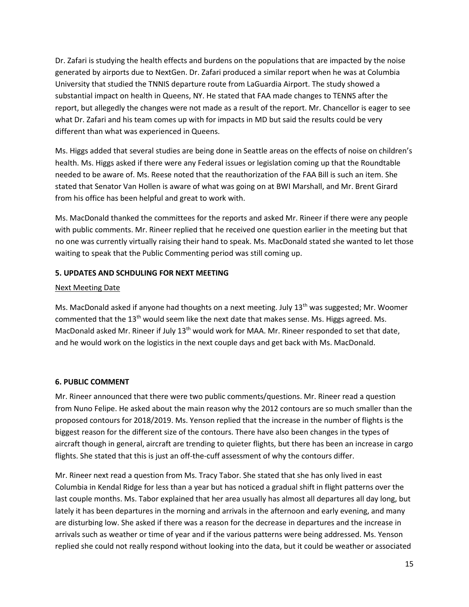Dr. Zafari is studying the health effects and burdens on the populations that are impacted by the noise generated by airports due to NextGen. Dr. Zafari produced a similar report when he was at Columbia University that studied the TNNIS departure route from LaGuardia Airport. The study showed a substantial impact on health in Queens, NY. He stated that FAA made changes to TENNS after the report, but allegedly the changes were not made as a result of the report. Mr. Chancellor is eager to see what Dr. Zafari and his team comes up with for impacts in MD but said the results could be very different than what was experienced in Queens.

Ms. Higgs added that several studies are being done in Seattle areas on the effects of noise on children's health. Ms. Higgs asked if there were any Federal issues or legislation coming up that the Roundtable needed to be aware of. Ms. Reese noted that the reauthorization of the FAA Bill is such an item. She stated that Senator Van Hollen is aware of what was going on at BWI Marshall, and Mr. Brent Girard from his office has been helpful and great to work with.

Ms. MacDonald thanked the committees for the reports and asked Mr. Rineer if there were any people with public comments. Mr. Rineer replied that he received one question earlier in the meeting but that no one was currently virtually raising their hand to speak. Ms. MacDonald stated she wanted to let those waiting to speak that the Public Commenting period was still coming up.

### **5. UPDATES AND SCHDULING FOR NEXT MEETING**

### Next Meeting Date

Ms. MacDonald asked if anyone had thoughts on a next meeting. July  $13<sup>th</sup>$  was suggested; Mr. Woomer commented that the  $13<sup>th</sup>$  would seem like the next date that makes sense. Ms. Higgs agreed. Ms. MacDonald asked Mr. Rineer if July 13<sup>th</sup> would work for MAA. Mr. Rineer responded to set that date, and he would work on the logistics in the next couple days and get back with Ms. MacDonald.

## **6. PUBLIC COMMENT**

Mr. Rineer announced that there were two public comments/questions. Mr. Rineer read a question from Nuno Felipe. He asked about the main reason why the 2012 contours are so much smaller than the proposed contours for 2018/2019. Ms. Yenson replied that the increase in the number of flights is the biggest reason for the different size of the contours. There have also been changes in the types of aircraft though in general, aircraft are trending to quieter flights, but there has been an increase in cargo flights. She stated that this is just an off-the-cuff assessment of why the contours differ.

Mr. Rineer next read a question from Ms. Tracy Tabor. She stated that she has only lived in east Columbia in Kendal Ridge for less than a year but has noticed a gradual shift in flight patterns over the last couple months. Ms. Tabor explained that her area usually has almost all departures all day long, but lately it has been departures in the morning and arrivals in the afternoon and early evening, and many are disturbing low. She asked if there was a reason for the decrease in departures and the increase in arrivals such as weather or time of year and if the various patterns were being addressed. Ms. Yenson replied she could not really respond without looking into the data, but it could be weather or associated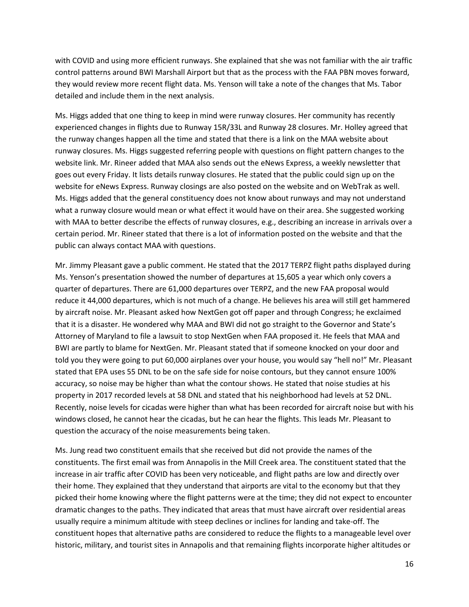with COVID and using more efficient runways. She explained that she was not familiar with the air traffic control patterns around BWI Marshall Airport but that as the process with the FAA PBN moves forward, they would review more recent flight data. Ms. Yenson will take a note of the changes that Ms. Tabor detailed and include them in the next analysis.

Ms. Higgs added that one thing to keep in mind were runway closures. Her community has recently experienced changes in flights due to Runway 15R/33L and Runway 28 closures. Mr. Holley agreed that the runway changes happen all the time and stated that there is a link on the MAA website about runway closures. Ms. Higgs suggested referring people with questions on flight pattern changes to the website link. Mr. Rineer added that MAA also sends out the eNews Express, a weekly newsletter that goes out every Friday. It lists details runway closures. He stated that the public could sign up on the website for eNews Express. Runway closings are also posted on the website and on WebTrak as well. Ms. Higgs added that the general constituency does not know about runways and may not understand what a runway closure would mean or what effect it would have on their area. She suggested working with MAA to better describe the effects of runway closures, e.g., describing an increase in arrivals over a certain period. Mr. Rineer stated that there is a lot of information posted on the website and that the public can always contact MAA with questions.

Mr. Jimmy Pleasant gave a public comment. He stated that the 2017 TERPZ flight paths displayed during Ms. Yenson's presentation showed the number of departures at 15,605 a year which only covers a quarter of departures. There are 61,000 departures over TERPZ, and the new FAA proposal would reduce it 44,000 departures, which is not much of a change. He believes his area will still get hammered by aircraft noise. Mr. Pleasant asked how NextGen got off paper and through Congress; he exclaimed that it is a disaster. He wondered why MAA and BWI did not go straight to the Governor and State's Attorney of Maryland to file a lawsuit to stop NextGen when FAA proposed it. He feels that MAA and BWI are partly to blame for NextGen. Mr. Pleasant stated that if someone knocked on your door and told you they were going to put 60,000 airplanes over your house, you would say "hell no!" Mr. Pleasant stated that EPA uses 55 DNL to be on the safe side for noise contours, but they cannot ensure 100% accuracy, so noise may be higher than what the contour shows. He stated that noise studies at his property in 2017 recorded levels at 58 DNL and stated that his neighborhood had levels at 52 DNL. Recently, noise levels for cicadas were higher than what has been recorded for aircraft noise but with his windows closed, he cannot hear the cicadas, but he can hear the flights. This leads Mr. Pleasant to question the accuracy of the noise measurements being taken.

Ms. Jung read two constituent emails that she received but did not provide the names of the constituents. The first email was from Annapolis in the Mill Creek area. The constituent stated that the increase in air traffic after COVID has been very noticeable, and flight paths are low and directly over their home. They explained that they understand that airports are vital to the economy but that they picked their home knowing where the flight patterns were at the time; they did not expect to encounter dramatic changes to the paths. They indicated that areas that must have aircraft over residential areas usually require a minimum altitude with steep declines or inclines for landing and take-off. The constituent hopes that alternative paths are considered to reduce the flights to a manageable level over historic, military, and tourist sites in Annapolis and that remaining flights incorporate higher altitudes or